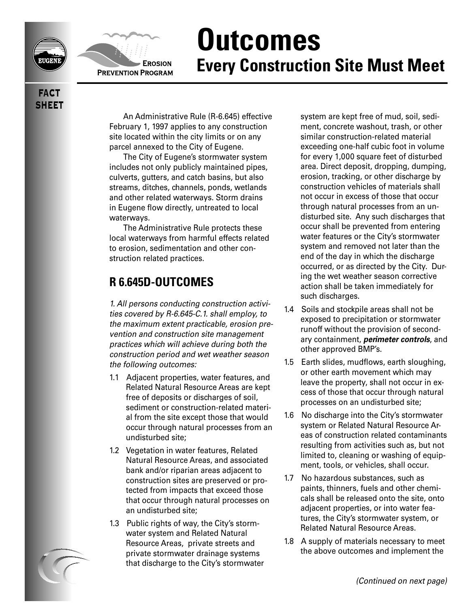



## **Outcomes Every Construction Site Must Meet**

**FACT SHEET** 

> An Administrative Rule (R-6.645) effective February 1, 1997 applies to any construction site located within the city limits or on any parcel annexed to the City of Eugene.

The City of Eugene's stormwater system includes not only publicly maintained pipes, culverts, gutters, and catch basins, but also streams, ditches, channels, ponds, wetlands and other related waterways. Storm drains in Eugene flow directly, untreated to local waterways.

The Administrative Rule protects these local waterways from harmful effects related to erosion, sedimentation and other construction related practices.

## **R 6.645D-OUTCOMES**

1. All persons conducting construction activities covered by R-6.645-C.1. shall employ, to the maximum extent practicable, erosion prevention and construction site management practices which will achieve during both the construction period and wet weather season the following outcomes:

- 1.1 Adjacent properties, water features, and Related Natural Resource Areas are kept free of deposits or discharges of soil, sediment or construction-related material from the site except those that would occur through natural processes from an undisturbed site;
- 1.2 Vegetation in water features, Related Natural Resource Areas, and associated bank and/or riparian areas adjacent to construction sites are preserved or protected from impacts that exceed those that occur through natural processes on an undisturbed site;
- 1.3 Public rights of way, the City's stormwater system and Related Natural Resource Areas, private streets and private stormwater drainage systems that discharge to the City's stormwater

system are kept free of mud, soil, sediment, concrete washout, trash, or other similar construction-related material exceeding one-half cubic foot in volume for every 1,000 square feet of disturbed area. Direct deposit, dropping, dumping, erosion, tracking, or other discharge by construction vehicles of materials shall not occur in excess of those that occur through natural processes from an undisturbed site. Any such discharges that occur shall be prevented from entering water features or the City's stormwater system and removed not later than the end of the day in which the discharge occurred, or as directed by the City. During the wet weather season corrective action shall be taken immediately for such discharges.

- 1.4 Soils and stockpile areas shall not be exposed to precipitation or stormwater runoff without the provision of secondary containment, **perimeter controls**, and other approved BMP's.
- 1.5 Earth slides, mudflows, earth sloughing, or other earth movement which may leave the property, shall not occur in excess of those that occur through natural processes on an undisturbed site;
- 1.6 No discharge into the City's stormwater system or Related Natural Resource Areas of construction related contaminants resulting from activities such as, but not limited to, cleaning or washing of equipment, tools, or vehicles, shall occur.
- 1.7 No hazardous substances, such as paints, thinners, fuels and other chemicals shall be released onto the site, onto adjacent properties, or into water features, the City's stormwater system, or Related Natural Resource Areas.
- 1.8 A supply of materials necessary to meet the above outcomes and implement the